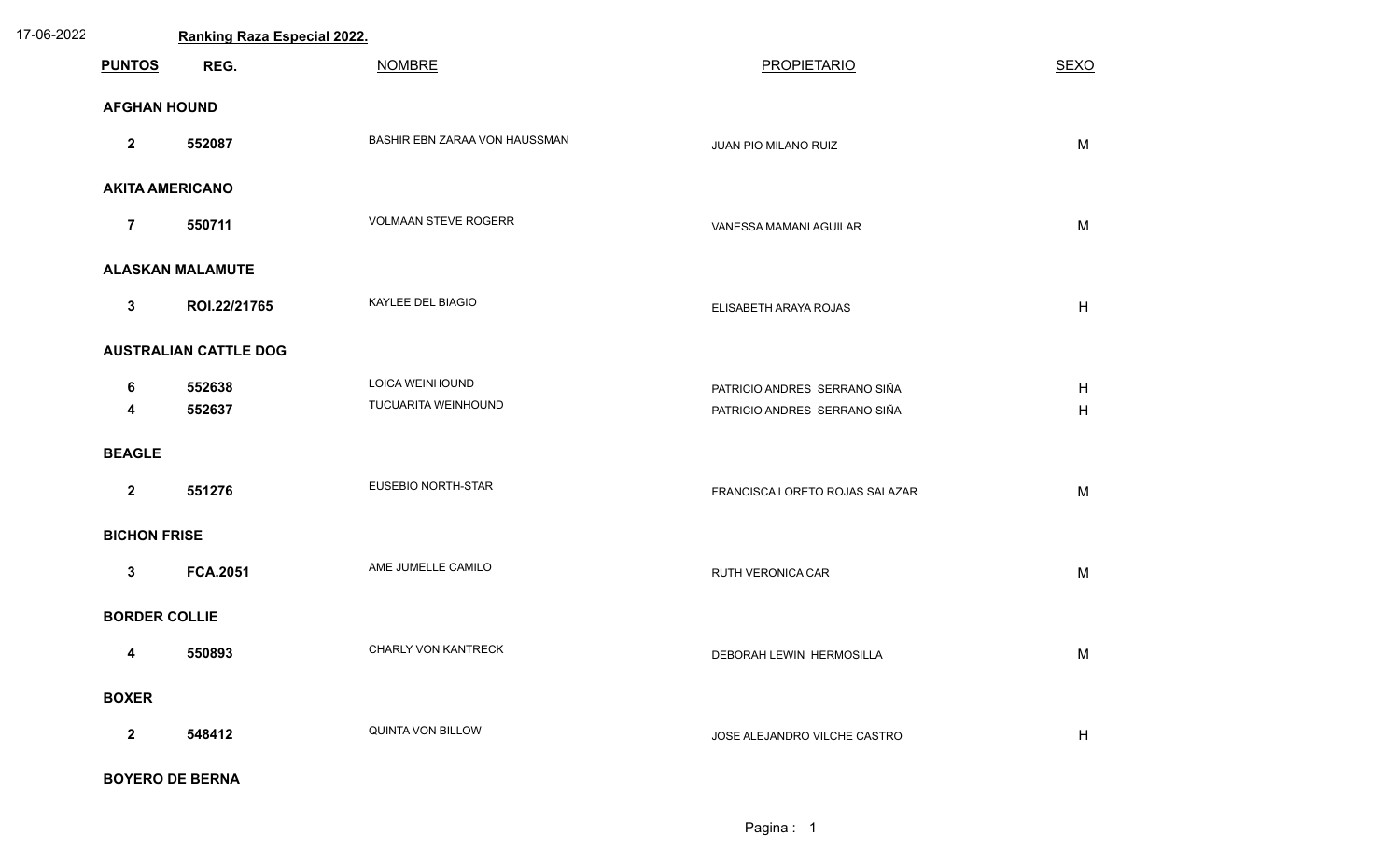| 17-06-2022 |                         | <b>Ranking Raza Especial 2022.</b> |                               |                                |             |  |
|------------|-------------------------|------------------------------------|-------------------------------|--------------------------------|-------------|--|
|            | <b>PUNTOS</b>           | REG.                               | <b>NOMBRE</b>                 | <b>PROPIETARIO</b>             | <b>SEXO</b> |  |
|            | <b>AFGHAN HOUND</b>     |                                    |                               |                                |             |  |
|            | $\mathbf{2}$            | 552087                             | BASHIR EBN ZARAA VON HAUSSMAN | JUAN PIO MILANO RUIZ           | M           |  |
|            | <b>AKITA AMERICANO</b>  |                                    |                               |                                |             |  |
|            | $\overline{7}$          | 550711                             | VOLMAAN STEVE ROGERR          | VANESSA MAMANI AGUILAR         | M           |  |
|            |                         | <b>ALASKAN MALAMUTE</b>            |                               |                                |             |  |
|            | $\mathbf{3}$            | ROI.22/21765                       | KAYLEE DEL BIAGIO             | ELISABETH ARAYA ROJAS          | H           |  |
|            |                         | <b>AUSTRALIAN CATTLE DOG</b>       |                               |                                |             |  |
|            | 6                       | 552638                             | LOICA WEINHOUND               | PATRICIO ANDRES SERRANO SIÑA   | H           |  |
|            | $\overline{\mathbf{4}}$ | 552637                             | TUCUARITA WEINHOUND           | PATRICIO ANDRES SERRANO SIÑA   | H           |  |
|            | <b>BEAGLE</b>           |                                    |                               |                                |             |  |
|            | $\overline{2}$          | 551276                             | <b>EUSEBIO NORTH-STAR</b>     | FRANCISCA LORETO ROJAS SALAZAR | M           |  |
|            | <b>BICHON FRISE</b>     |                                    |                               |                                |             |  |
|            | $\mathbf{3}$            | <b>FCA.2051</b>                    | AME JUMELLE CAMILO            | RUTH VERONICA CAR              | M           |  |
|            | <b>BORDER COLLIE</b>    |                                    |                               |                                |             |  |
|            | $\overline{\mathbf{4}}$ | 550893                             | CHARLY VON KANTRECK           | DEBORAH LEWIN HERMOSILLA       | M           |  |
|            | <b>BOXER</b>            |                                    |                               |                                |             |  |
|            | $\mathbf{2}$            | 548412                             | QUINTA VON BILLOW             | JOSE ALEJANDRO VILCHE CASTRO   | H           |  |
|            |                         | <b>BOYERO DE BERNA</b>             |                               |                                |             |  |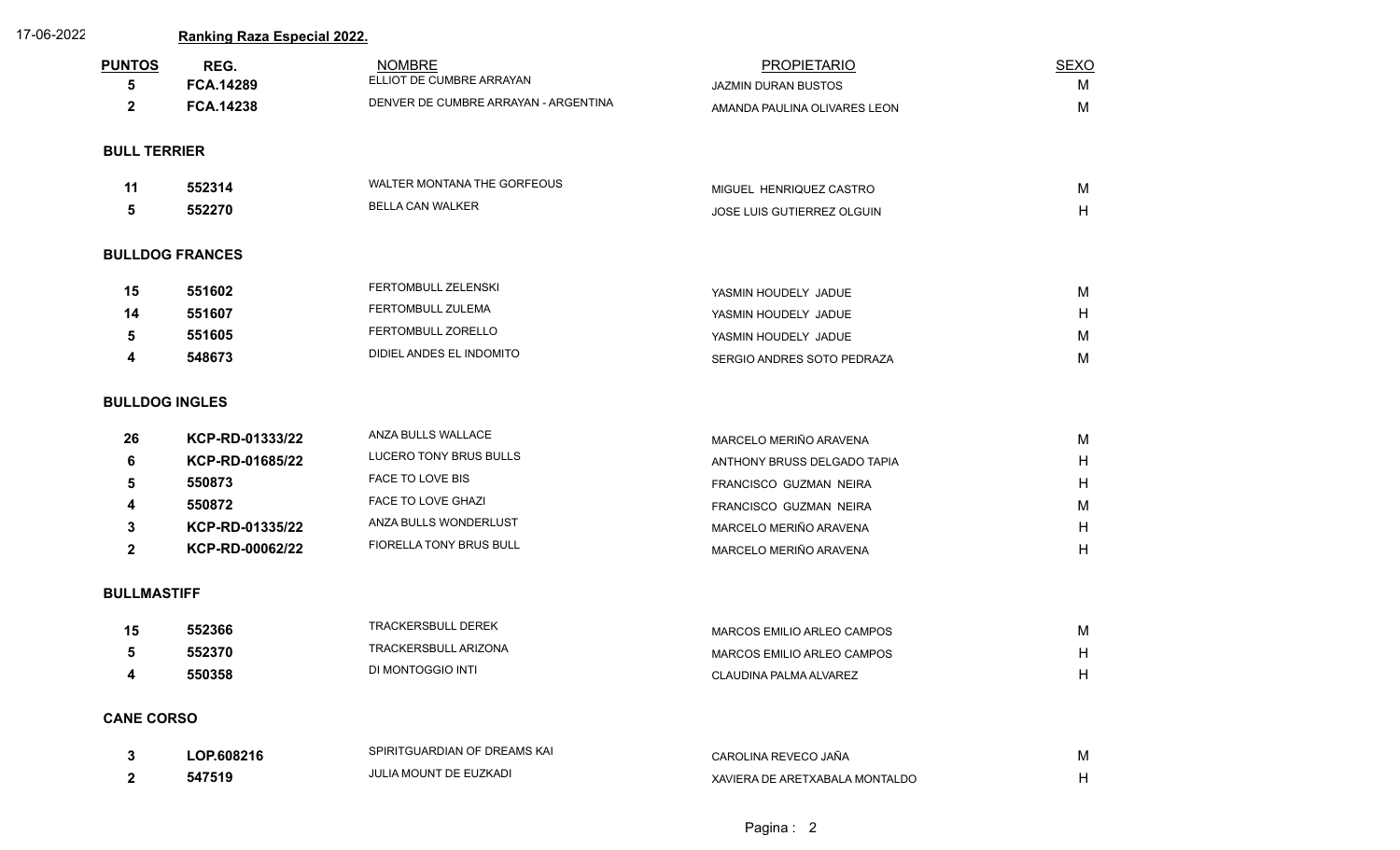| 17-06-2022 |                       | <b>Ranking Raza Especial 2022.</b> |                                           |                                           |                  |
|------------|-----------------------|------------------------------------|-------------------------------------------|-------------------------------------------|------------------|
|            | <b>PUNTOS</b><br>5    | REG.<br><b>FCA.14289</b>           | <b>NOMBRE</b><br>ELLIOT DE CUMBRE ARRAYAN | <b>PROPIETARIO</b><br>JAZMIN DURAN BUSTOS | <b>SEXO</b><br>M |
|            | $\mathbf{2}$          | <b>FCA.14238</b>                   | DENVER DE CUMBRE ARRAYAN - ARGENTINA      | AMANDA PAULINA OLIVARES LEON              | M                |
|            | <b>BULL TERRIER</b>   |                                    |                                           |                                           |                  |
|            | 11                    | 552314                             | WALTER MONTANA THE GORFEOUS               | MIGUEL HENRIQUEZ CASTRO                   | M                |
|            | 5                     | 552270                             | BELLA CAN WALKER                          | JOSE LUIS GUTIERREZ OLGUIN                | H                |
|            |                       | <b>BULLDOG FRANCES</b>             |                                           |                                           |                  |
|            | 15                    | 551602                             | FERTOMBULL ZELENSKI                       | YASMIN HOUDELY JADUE                      | M                |
|            | 14                    | 551607                             | FERTOMBULL ZULEMA                         | YASMIN HOUDELY JADUE                      | H                |
|            | 5                     | 551605                             | FERTOMBULL ZORELLO                        | YASMIN HOUDELY JADUE                      | M                |
|            | 4                     | 548673                             | DIDIEL ANDES EL INDOMITO                  | SERGIO ANDRES SOTO PEDRAZA                | M                |
|            | <b>BULLDOG INGLES</b> |                                    |                                           |                                           |                  |
|            | 26                    | KCP-RD-01333/22                    | ANZA BULLS WALLACE                        | MARCELO MERIÑO ARAVENA                    | M                |
|            | 6                     | KCP-RD-01685/22                    | LUCERO TONY BRUS BULLS                    | ANTHONY BRUSS DELGADO TAPIA               | H                |
|            | 5                     | 550873                             | FACE TO LOVE BIS                          | FRANCISCO GUZMAN NEIRA                    | H                |
|            | 4                     | 550872                             | FACE TO LOVE GHAZI                        | FRANCISCO GUZMAN NEIRA                    | M                |
|            | 3                     | KCP-RD-01335/22                    | ANZA BULLS WONDERLUST                     | MARCELO MERIÑO ARAVENA                    | H                |
|            | $\mathbf{2}$          | KCP-RD-00062/22                    | FIORELLA TONY BRUS BULL                   | MARCELO MERIÑO ARAVENA                    | H                |
|            | <b>BULLMASTIFF</b>    |                                    |                                           |                                           |                  |
|            | 15                    | 552366                             | <b>TRACKERSBULL DEREK</b>                 | MARCOS EMILIO ARLEO CAMPOS                | M                |
|            | 5                     | 552370                             | TRACKERSBULL ARIZONA                      | MARCOS EMILIO ARLEO CAMPOS                | H                |
|            | 4                     | 550358                             | DI MONTOGGIO INTI                         | CLAUDINA PALMA ALVAREZ                    | H                |
|            | <b>CANE CORSO</b>     |                                    |                                           |                                           |                  |
|            | 3                     | LOP.608216                         | SPIRITGUARDIAN OF DREAMS KAI              | CAROLINA REVECO JAÑA                      | M                |
|            | $\mathbf{2}$          | 547519                             | JULIA MOUNT DE EUZKADI                    | XAVIERA DE ARETXABALA MONTALDO            | H                |
|            |                       |                                    |                                           |                                           |                  |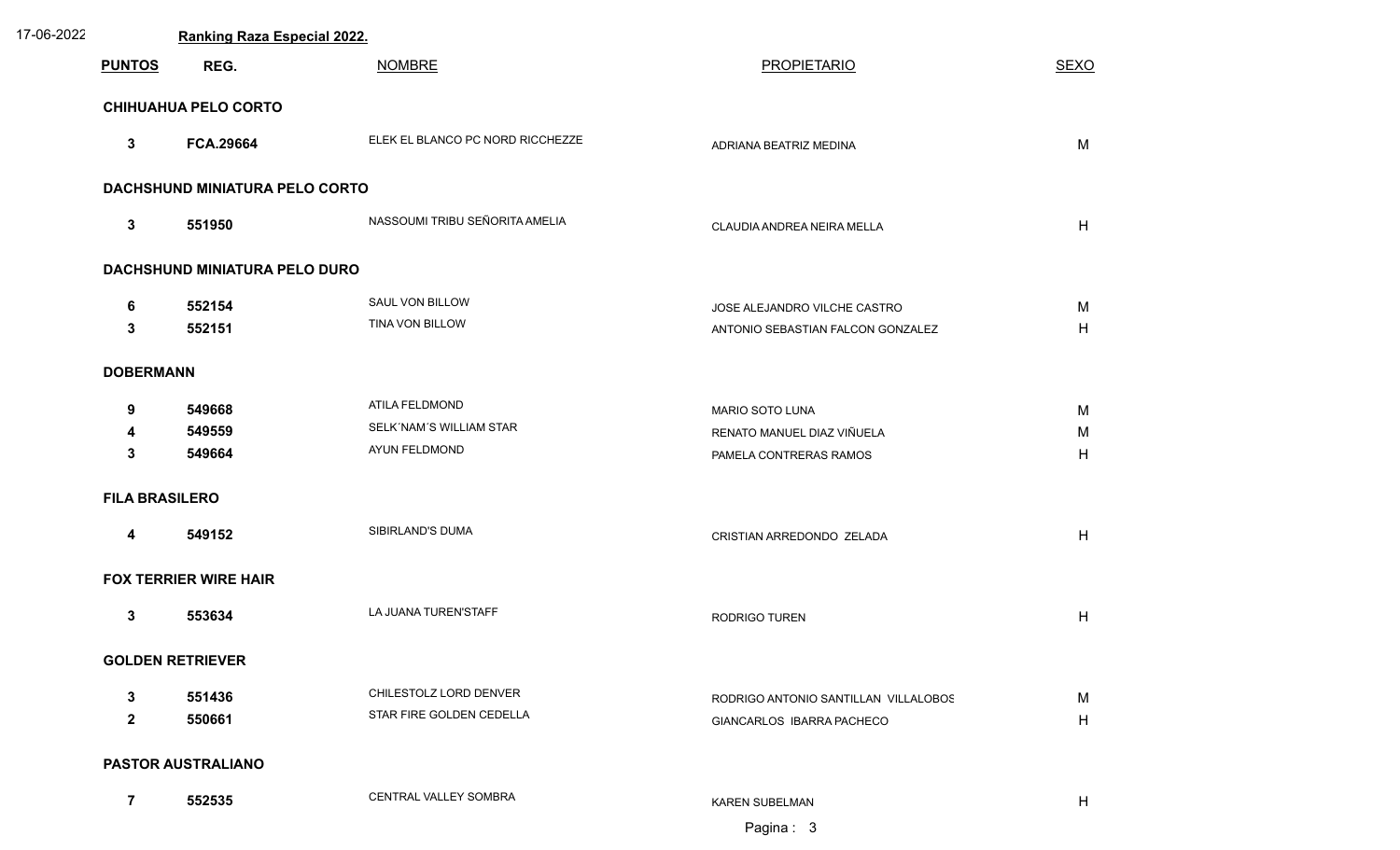| 17-06-2022 |                             | Ranking Raza Especial 2022.           |                                  |                                      |             |  |
|------------|-----------------------------|---------------------------------------|----------------------------------|--------------------------------------|-------------|--|
|            | <b>PUNTOS</b>               | REG.                                  | <b>NOMBRE</b>                    | <b>PROPIETARIO</b>                   | <b>SEXO</b> |  |
|            | <b>CHIHUAHUA PELO CORTO</b> |                                       |                                  |                                      |             |  |
|            | $\mathbf{3}$                | <b>FCA.29664</b>                      | ELEK EL BLANCO PC NORD RICCHEZZE | ADRIANA BEATRIZ MEDINA               | M           |  |
|            |                             | <b>DACHSHUND MINIATURA PELO CORTO</b> |                                  |                                      |             |  |
|            | $\mathbf{3}$                | 551950                                | NASSOUMI TRIBU SEÑORITA AMELIA   | CLAUDIA ANDREA NEIRA MELLA           | H           |  |
|            |                             | DACHSHUND MINIATURA PELO DURO         |                                  |                                      |             |  |
|            | 6                           | 552154                                | SAUL VON BILLOW                  | JOSE ALEJANDRO VILCHE CASTRO         | M           |  |
|            | 3                           | 552151                                | TINA VON BILLOW                  | ANTONIO SEBASTIAN FALCON GONZALEZ    | H           |  |
|            | <b>DOBERMANN</b>            |                                       |                                  |                                      |             |  |
|            | 9                           | 549668                                | ATILA FELDMOND                   | MARIO SOTO LUNA                      | M           |  |
|            | 4                           | 549559                                | SELK'NAM'S WILLIAM STAR          | RENATO MANUEL DIAZ VIÑUELA           | M           |  |
|            | $\mathbf{3}$                | 549664                                | AYUN FELDMOND                    | PAMELA CONTRERAS RAMOS               | H           |  |
|            | <b>FILA BRASILERO</b>       |                                       |                                  |                                      |             |  |
|            | $\overline{\mathbf{4}}$     | 549152                                | SIBIRLAND'S DUMA                 | CRISTIAN ARREDONDO ZELADA            | H           |  |
|            |                             | <b>FOX TERRIER WIRE HAIR</b>          |                                  |                                      |             |  |
|            | $\mathbf{3}$                | 553634                                | LA JUANA TUREN'STAFF             | <b>RODRIGO TUREN</b>                 | H           |  |
|            |                             | <b>GOLDEN RETRIEVER</b>               |                                  |                                      |             |  |
|            | $\mathbf{3}$                | 551436                                | CHILESTOLZ LORD DENVER           | RODRIGO ANTONIO SANTILLAN VILLALOBOS | M           |  |
|            | $\overline{2}$              | 550661                                | STAR FIRE GOLDEN CEDELLA         | GIANCARLOS IBARRA PACHECO            | H           |  |
|            |                             | <b>PASTOR AUSTRALIANO</b>             |                                  |                                      |             |  |
|            | $\overline{7}$              | 552535                                | CENTRAL VALLEY SOMBRA            | KAREN SUBELMAN                       | H           |  |
|            |                             |                                       |                                  | Pagina: 3                            |             |  |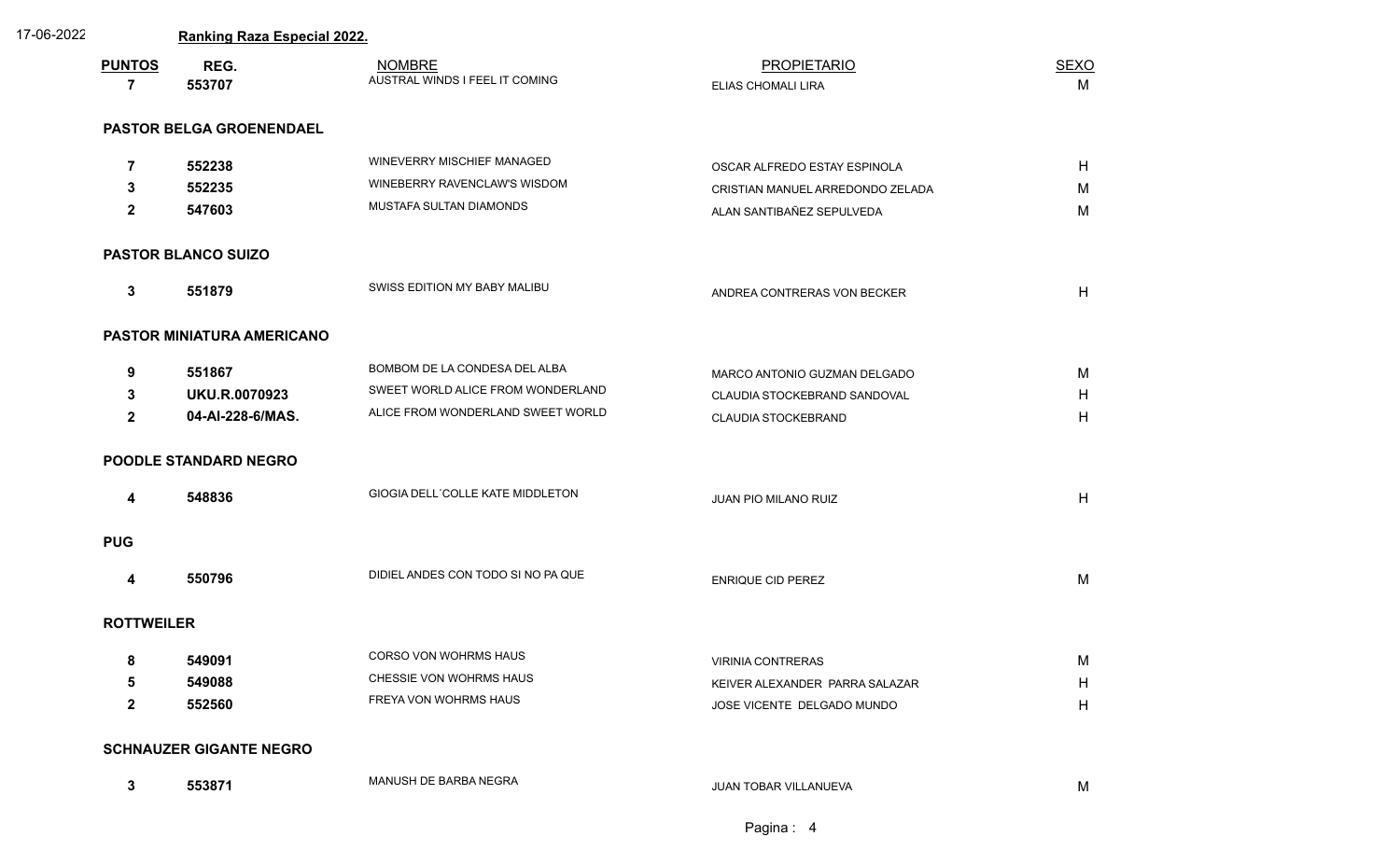| 17-06-2022 |               | <b>Ranking Raza Especial 2022.</b> |                                                 |                                          |                  |  |
|------------|---------------|------------------------------------|-------------------------------------------------|------------------------------------------|------------------|--|
|            | <b>PUNTOS</b> | REG.<br>553707                     | <b>NOMBRE</b><br>AUSTRAL WINDS I FEEL IT COMING | <b>PROPIETARIO</b><br>ELIAS CHOMALI LIRA | <u>SEXO</u><br>М |  |

| NOMBRE                        | PROPIETARIO               | SEXO |
|-------------------------------|---------------------------|------|
| USTRAL WINDS I FEEL IT COMING | <b>ELIAS CHOMALI LIRA</b> | IV.  |

## **PASTOR BELGA GROENENDAEL**

| $\overline{7}$<br>3<br>$\mathbf{2}$ | 552238<br>552235<br>547603                         | WINEVERRY MISCHIEF MANAGED<br>WINEBERRY RAVENCLAW'S WISDOM<br>MUSTAFA SULTAN DIAMONDS                   | OSCAR ALFREDO ESTAY ESPINOLA<br>CRISTIAN MANUEL ARREDONDO ZELADA<br>ALAN SANTIBAÑEZ SEPULVEDA | H<br>M<br>M |  |  |  |
|-------------------------------------|----------------------------------------------------|---------------------------------------------------------------------------------------------------------|-----------------------------------------------------------------------------------------------|-------------|--|--|--|
|                                     | <b>PASTOR BLANCO SUIZO</b>                         |                                                                                                         |                                                                                               |             |  |  |  |
| $\mathbf{3}$                        | 551879                                             | SWISS EDITION MY BABY MALIBU                                                                            | ANDREA CONTRERAS VON BECKER                                                                   | H           |  |  |  |
|                                     | PASTOR MINIATURA AMERICANO                         |                                                                                                         |                                                                                               |             |  |  |  |
| 9<br>3<br>$\mathbf{2}$              | 551867<br><b>UKU.R.0070923</b><br>04-AI-228-6/MAS. | BOMBOM DE LA CONDESA DEL ALBA<br>SWEET WORLD ALICE FROM WONDERLAND<br>ALICE FROM WONDERLAND SWEET WORLD | MARCO ANTONIO GUZMAN DELGADO<br>CLAUDIA STOCKEBRAND SANDOVAL<br><b>CLAUDIA STOCKEBRAND</b>    | M<br>H<br>H |  |  |  |
|                                     | <b>POODLE STANDARD NEGRO</b>                       |                                                                                                         |                                                                                               |             |  |  |  |
| 4                                   | 548836                                             | GIOGIA DELL'COLLE KATE MIDDLETON                                                                        | JUAN PIO MILANO RUIZ                                                                          | H           |  |  |  |
| <b>PUG</b>                          |                                                    |                                                                                                         |                                                                                               |             |  |  |  |
| $\overline{\mathbf{4}}$             | 550796                                             | DIDIEL ANDES CON TODO SI NO PA QUE                                                                      | ENRIQUE CID PEREZ                                                                             | M           |  |  |  |
|                                     | <b>ROTTWEILER</b>                                  |                                                                                                         |                                                                                               |             |  |  |  |
| 8<br>5<br>$\mathbf{2}$              | 549091<br>549088<br>552560                         | CORSO VON WOHRMS HAUS<br>CHESSIE VON WOHRMS HAUS<br>FREYA VON WOHRMS HAUS                               | VIRINIA CONTRERAS<br>KEIVER ALEXANDER PARRA SALAZAR<br>JOSE VICENTE DELGADO MUNDO             | M<br>H<br>H |  |  |  |
|                                     | <b>SCHNAUZER GIGANTE NEGRO</b>                     |                                                                                                         |                                                                                               |             |  |  |  |
| $\mathbf{3}$                        | 553871                                             | MANUSH DE BARBA NEGRA                                                                                   | JUAN TOBAR VILLANUEVA                                                                         | М           |  |  |  |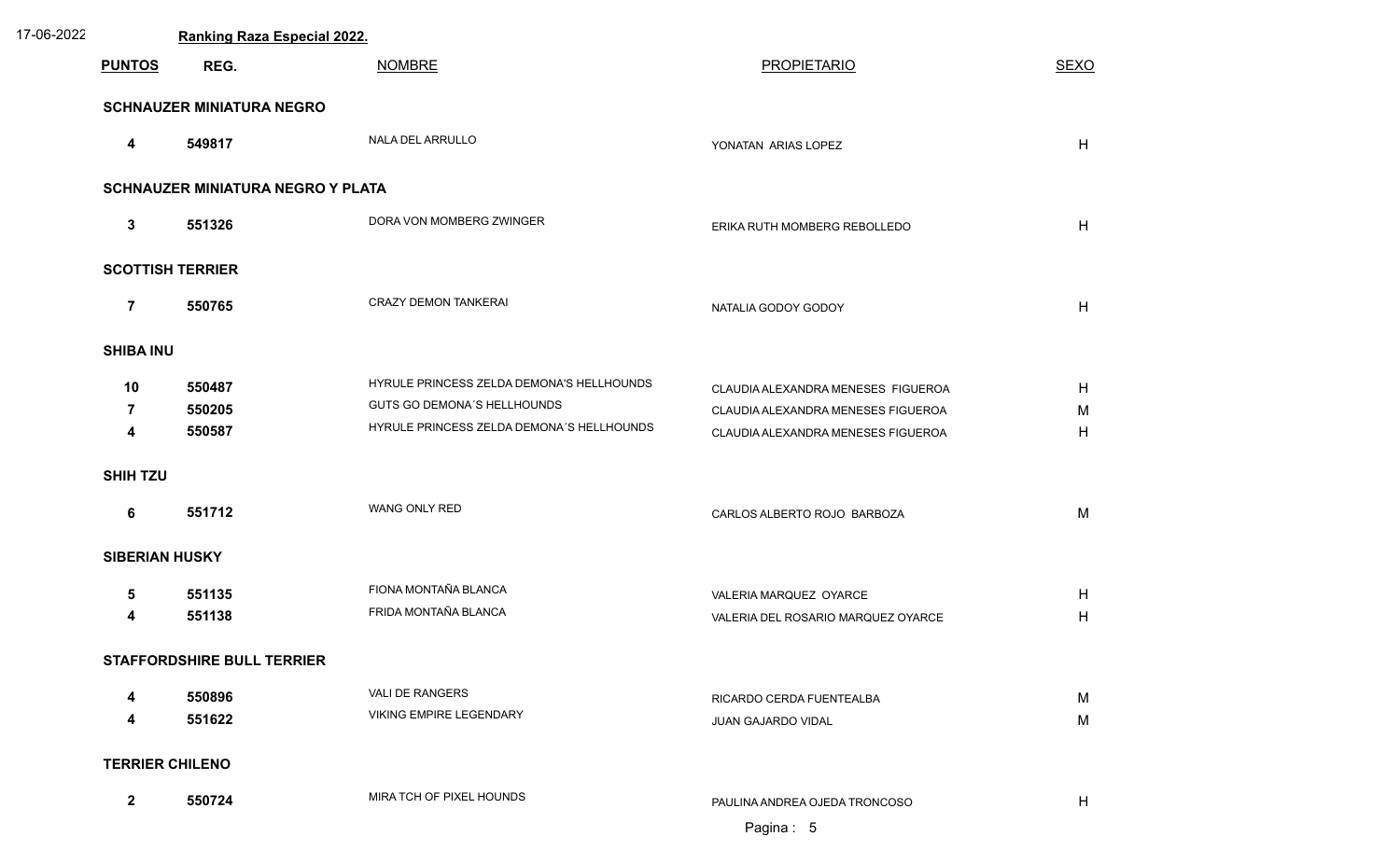| 17-06-2022 | Ranking Raza Especial 2022.              |                                   |                                           |                                    |             |  |  |
|------------|------------------------------------------|-----------------------------------|-------------------------------------------|------------------------------------|-------------|--|--|
|            | <b>PUNTOS</b>                            | REG.                              | <b>NOMBRE</b>                             | <b>PROPIETARIO</b>                 | <b>SEXO</b> |  |  |
|            | <b>SCHNAUZER MINIATURA NEGRO</b>         |                                   |                                           |                                    |             |  |  |
|            | 4                                        | 549817                            | NALA DEL ARRULLO                          | YONATAN ARIAS LOPEZ                | H           |  |  |
|            | <b>SCHNAUZER MINIATURA NEGRO Y PLATA</b> |                                   |                                           |                                    |             |  |  |
|            | $\mathbf{3}$                             | 551326                            | DORA VON MOMBERG ZWINGER                  | ERIKA RUTH MOMBERG REBOLLEDO       | H           |  |  |
|            | <b>SCOTTISH TERRIER</b>                  |                                   |                                           |                                    |             |  |  |
|            | $\overline{7}$                           | 550765                            | CRAZY DEMON TANKERAI                      | NATALIA GODOY GODOY                | H           |  |  |
|            | <b>SHIBA INU</b>                         |                                   |                                           |                                    |             |  |  |
|            | 10                                       | 550487                            | HYRULE PRINCESS ZELDA DEMONA'S HELLHOUNDS | CLAUDIA ALEXANDRA MENESES FIGUEROA | H           |  |  |
|            | $\overline{7}$                           | 550205                            | <b>GUTS GO DEMONA'S HELLHOUNDS</b>        | CLAUDIA ALEXANDRA MENESES FIGUEROA | M           |  |  |
|            | 4                                        | 550587                            | HYRULE PRINCESS ZELDA DEMONA'S HELLHOUNDS | CLAUDIA ALEXANDRA MENESES FIGUEROA | H           |  |  |
|            | <b>SHIH TZU</b>                          |                                   |                                           |                                    |             |  |  |
|            | 6                                        | 551712                            | WANG ONLY RED                             | CARLOS ALBERTO ROJO BARBOZA        | M           |  |  |
|            | <b>SIBERIAN HUSKY</b>                    |                                   |                                           |                                    |             |  |  |
|            | 5                                        | 551135                            | FIONA MONTAÑA BLANCA                      | VALERIA MARQUEZ OYARCE             | H           |  |  |
|            | 4                                        | 551138                            | FRIDA MONTAÑA BLANCA                      | VALERIA DEL ROSARIO MARQUEZ OYARCE | H           |  |  |
|            |                                          | <b>STAFFORDSHIRE BULL TERRIER</b> |                                           |                                    |             |  |  |
|            | 4                                        | 550896                            | VALI DE RANGERS                           | RICARDO CERDA FUENTEALBA           | M           |  |  |
|            | 4                                        | 551622                            | VIKING EMPIRE LEGENDARY                   | JUAN GAJARDO VIDAL                 | M           |  |  |
|            | <b>TERRIER CHILENO</b>                   |                                   |                                           |                                    |             |  |  |
|            | $\overline{2}$                           | 550724                            | MIRA TCH OF PIXEL HOUNDS                  | PAULINA ANDREA OJEDA TRONCOSO      | H           |  |  |
|            |                                          |                                   |                                           | Pagina: 5                          |             |  |  |